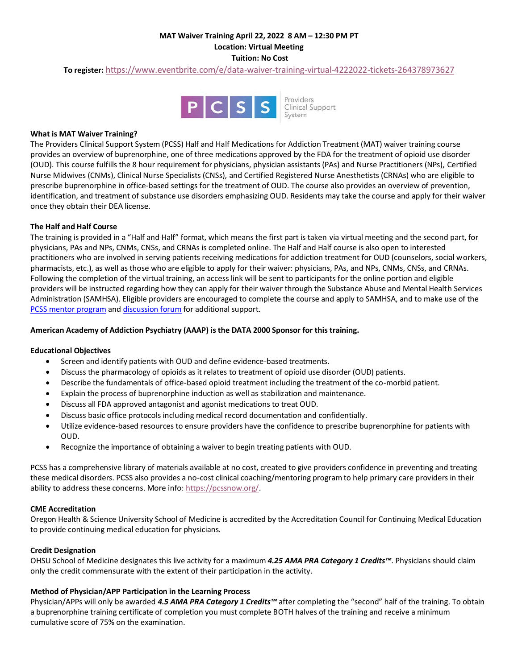## **MAT Waiver Training April 22, 2022 8 AM – 12:30 PM PT Location: Virtual Meeting**

**Tuition: No Cost**

**To register:** <https://www.eventbrite.com/e/data-waiver-training-virtual-4222022-tickets-264378973627>



### **What is MAT Waiver Training?**

The Providers Clinical Support System (PCSS) Half and Half Medications for Addiction Treatment (MAT) waiver training course provides an overview of buprenorphine, one of three medications approved by the FDA for the treatment of opioid use disorder (OUD). This course fulfills the 8 hour requirement for physicians, physician assistants (PAs) and Nurse Practitioners (NPs), Certified Nurse Midwives (CNMs), Clinical Nurse Specialists (CNSs), and Certified Registered Nurse Anesthetists (CRNAs) who are eligible to prescribe buprenorphine in office-based settings for the treatment of OUD. The course also provides an overview of prevention, identification, and treatment of substance use disorders emphasizing OUD. Residents may take the course and apply for their waiver once they obtain their DEA license.

### **The Half and Half Course**

The training is provided in a "Half and Half" format, which means the first part is taken via virtual meeting and the second part, for physicians, PAs and NPs, CNMs, CNSs, and CRNAs is completed online. The Half and Half course is also open to interested practitioners who are involved in serving patients receiving medications for addiction treatment for OUD (counselors, social workers, pharmacists, etc.), as well as those who are eligible to apply for their waiver: physicians, PAs, and NPs, CNMs, CNSs, and CRNAs. Following the completion of the virtual training, an access link will be sent to participants for the online portion and eligible providers will be instructed regarding how they can apply for their waiver through the Substance Abuse and Mental Health Services Administration (SAMHSA). Eligible providers are encouraged to complete the course and apply to SAMHSA, and to make use of the [PCSS mentor program](https://pcssnow.org/mentoring/) an[d discussion forum](http://pcss.invisionzone.com/register) for additional support.

### **American Academy of Addiction Psychiatry (AAAP) is the DATA 2000 Sponsor for this training.**

#### **Educational Objectives**

- Screen and identify patients with OUD and define evidence-based treatments.
- Discuss the pharmacology of opioids as it relates to treatment of opioid use disorder (OUD) patients.
- Describe the fundamentals of office-based opioid treatment including the treatment of the co-morbid patient.
- Explain the process of buprenorphine induction as well as stabilization and maintenance.
- Discuss all FDA approved antagonist and agonist medications to treat OUD.
- Discuss basic office protocols including medical record documentation and confidentially.
- Utilize evidence-based resources to ensure providers have the confidence to prescribe buprenorphine for patients with OUD.
- Recognize the importance of obtaining a waiver to begin treating patients with OUD.

PCSS has a comprehensive library of materials available at no cost, created to give providers confidence in preventing and treating these medical disorders. PCSS also provides a no-cost clinical coaching/mentoring program to help primary care providers in their ability to address these concerns. More info[: https://pcssnow.org/.](https://pcssnow.org/)

# **CME Accreditation**

Oregon Health & Science University School of Medicine is accredited by the Accreditation Council for Continuing Medical Education to provide continuing medical education for physicians*.*

# **Credit Designation**

OHSU School of Medicine designates this live activity for a maximum *4.25 AMA PRA Category 1 Credits™*. Physicians should claim only the credit commensurate with the extent of their participation in the activity.

# **Method of Physician/APP Participation in the Learning Process**

Physician/APPs will only be awarded *4.5 AMA PRA Category 1 Credits™* after completing the "second" half of the training. To obtain a buprenorphine training certificate of completion you must complete BOTH halves of the training and receive a minimum cumulative score of 75% on the examination.